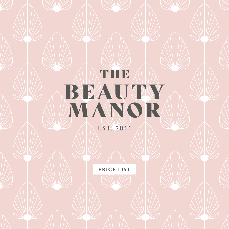# THE BEAUTY MANOR EST. 2011

**PRICE LIST**

1 (1) NWW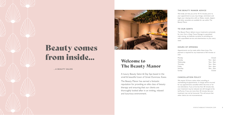# Beauty comes from inside... Welcome to



# The Beauty Manor

**...A BEAUTY SALON**

A luxury Beauty Salon & Day Spa based in the small & beautiful town of Great Dunmow, Essex.

The Beauty Manor has earned a fantastic reputation for providing an elite class of beauty therapy and ensuring that our clients are thoroughly looked after in an inviting, relaxed and luxurious environment.

### **THE BEAUTY MANOR ADVICE**

We kindly ask that you arrive 10-15 minutes prior to your appointment so you may change, wind down and begin your relaxing time with us. Robes, towels, slippers and other amenities are available for use within The Beauty Manor.

### **TO OUR GENTS**

The Beauty Manor delivers luxury treatments exclusively for men, from a Deep Tissue Massage to specialised male waxing, we dedicate ourselves to providing you with unparalleled service and attentiveness to your every need.

### **HOURS OF OPENING**

Appointments can be made within these times. Prepayment is required for any treatments of 60 minutes or over.

Monday Closed Tuesday 9am - 6pm Wednesday 9am - 9pm Thursday 9am - 9pm Friday 9am - 6pm Saturday 9am - 5pm Sunday Closed

### **CANCELLATION POLICY**

We require 24 hours notice when cancelling or rescheduling all appointments. A charge will be incurred for any appointments cancelled within this time or for non-attendance. If you arrive less than 30 minutes late, your treatment may be reduced, but still charged at the tariff price. If you are more then 30 minutes late your treatment may not be honoured. This will ensure that other clients are not inconvenienced.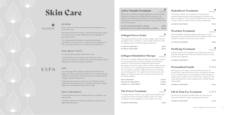**5**

ଈ **FNVIRON®** 

**FNVIRON®** 

### Active Vitamin Treatment

Packed with nourishing, anti-ageing ingredients, the Active Vitamin Treatment will leave your skin looking radiant and dewy. The freshest, most active forms of vitamin A, C and anti-oxidants are driven deep into the lower layers of the skin using soundwaves and small electrical pulses.

**ACTIVE VITAMIN TREATMENT (3 AREAS) £67.00 ADVANCED ACTIVE VITAMIN TREATMENT (10 AREAS) £87.00**

### Collagen Power Facial

◈ **ENVIRON®** 

This peptide-packed facial helps to boost collagen, soften fine lines and tighten lax skin, resulting in a more youthful appearance. Ideal for targeting mature or photo-damaged complexions.

| 60 MINUTE TREATMENT | £69.00 |
|---------------------|--------|
| 90 MINUTE TREATMENT | £89.00 |

### Collagen Stimulation Therapy

**FNVIRON®** 

Also known as medical needling has become very popular recently as we have discovered the enormous benefits of this powerful treatment. Dr Des Fernandes assisted with pioneering this technology and has been using it within his plastic surgery practice for many years. It is a cutting edge treatment that stimulates the skin's own ability to produce collagen and assist with the body's natural healing powers. This results driven treatment assists with ageing, sun damage, stretch marks, loose skin, uneven skin tone and dilated capillaries.

| FIRST TREATMENT               | f295.00  |
|-------------------------------|----------|
| FOLLOW UP TREATMENTS          | f250.00  |
| <b>COURSE OF 6 TREATMENTS</b> | £1390.00 |

### The Frown Treatment

**ENVIRON®** 

This highly effective treatment uses a special penta-peptide serum to target frown lines and achieve dramatic results. The unique combination of active ingredients is driven deep into the skin.

**45 MINUTE TREATMENT £99.00** 

**FNVIRON** 

### HydraBoost Treatment

The perfect antidote to dry, lacklustre skin, this intensive treatment deeply hydrates while plumping and firming the skin. Based on Hyaluronic Acid, which holds 1000 times its own weight in water, it helps to reduce fine lines caused by dehydration.

#### **ESPA**  $ESPA$

**FNVIRON®** 

**60 MINUTE TREATMENT £99.00**

### Precision Treatment

This time effective treatment targets specific areas of concern using unique skin care techniques that ensure effective results. This treatment is perfect for when your time is limited.

**30 MINUTE TREATMENT £48.00**

### Purifying Treatment

Created to purify micro-exfoliate and re-hydrate your skin, this particular treatment assists with the treatment of acne, scarring and deep skin congestion.

**45 MINUTE TREATMENT £53.00**

### Personalised Facials

Following your skin analysis, naturally advanced spa skincare products rich in plant and marine extracts are selected according to your individual needs and used alongside tailored massage to deeply cleanse, exfoliate, purify and boost your complexion. This customized treatment is then completed with a divinely relaxing scalp massage.

**60 MINUTE TREATMENT £59.50**

### Lift & Firm Eye Treatment

Lift & Firm Eye Treatment by ESPA Perfect for those who are concerned with the first signs of ageing around the eyes.

### **30 MINUTE TREATMENT £37.00**

**ENVIRON®** 

### $FSPA$

ESPA

### **ENVIRON**

Environ Skin care achieves outstanding results for people who are serious about skin.

Formulated by Dr Des Fernandes, a world renowned plastic surgeon, the range contains a unique combination of active ingredients to protect and nourish.

The clinically-tested formulations are packed with powerful antioxidants and active vitamins to help improve the appearance of lines, sun-damage, problem skin, uneven skin tone and dryness.

### **DUAL BEAUTY SUITE**

Are you looking for pamper treatments for two?

The Beauty Manor's dual treatment suite allows you and your partner, family member or friend to relax and unwind side by side for indulgent and relaxing simultaneous treatments.

Our facials begin with a detailed consultation and in-depth skin analysis. Your facial is specifically tailored to you, to include cleansing, exfoliation and extraction where necessary, and a treatment specific massage, mask and intensive serum.

Finally, skincare products are chosen for your individual needs to achieve the best possible results. To maintain the ultimate in healthy radiant skin we recommend a facial once a month.

### **MEN'S TREATMENTS**

All facial treatments here at The Beauty Manor are suitable for our male clientele.

For further advice do not hesitate to speak with a member of our highly experienced team.

# Skin Care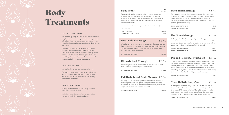ESPA

**7**

### **LUXURY TREATMENTS**

We offer a huge range of solution led Environ and ESPA body treatments and massages, each one designed and tailored specifically to ensure you experience the best physical and emotional therapeutic benefits depending on your needs.

When we lose the ability to relax our body, feelings of angst and sleeplessness can overwhelm us. An ESPA massage uses effective relaxation techniques and soothing essential oils to offer indulgent stress relief. Nourishing oils soften the skin and relax your mind bringing you back into harmonious balance.

### **DUAL BEAUTY SUITE**

Are you looking for pamper treatments for two?

The Beauty Manor's dual treatment suite allows you and your partner, family member or friend to relax and unwind side by side for indulgent and relaxing simultaneous treatments.

### **MEN'S TREATMENTS**

All body treatments here at The Beauty Manor are suitable for our male clientele.

For further advise do not hesitate to speak with a member of our highly experienced team.

# Body Treatments

### Body Profile

### **FNVIRON®**

Environs body profile treatment utilises the new body probe in conjunction with the Ionzyme DF Machine. The treatment addresses larger areas of the body and improves the texture and appearance of thighs, stomach and arms when combined with Environs Body Profile.

#### Hot Stone Massage ESPA

*For optimum results a course of 6 treatments over a 6 week period is recommended.*

| <b>ONE TREATMENT</b>          | £68.00  |
|-------------------------------|---------|
| <b>COURSE OF 6 TREATMENTS</b> | £370.00 |

#### Pre and Post Natal Treatment  $F$ SPA

### Personalised Massage

ESPA

What better way to get exactly what you need than selecting your favourite elements, perfect for both men and women. Design your own massage by choosing from a selection of aromatherapy oils and areas you wish to be treated.

#### Total Holistic Body Care ESPA

**60 MINUTE TREATMENT £57.00**

### Ultimate Back Massage

ESPA

This massage focuses on the key areas of tension using an ESPA Body Oil that is chosen for your specific needs.

**45 MINUTE TREATMENT £44.50**

### Full Body Face & Scalp Massage ESPA

Full Body Face & Scalp Massage ESPA aromatherapy massage is essential, professional and specific, using a blend of individually chosen oils. A personal consultation will ensure that you receive a unique treatment to suit your specific needs.

**75 MINUTE TREATMENT £65.00**

### Deep Tissue Massage

Focusing on the deeper layers of muscle tissue, this deep-tissue massage helps break up and eliminate scar tissue, loosen muscle tissues, release toxins from muscles and ensures oxygen is circulating properly throughout the body. Great to both treat and prevent sports related injury.

| <b>30 MINUTE TREATMENT</b> | £42.00 |
|----------------------------|--------|
| <b>60 MINUTE TREATMENT</b> | £64.00 |

A therapeutic full body massage using aromatherapy oils and warm volcanic stones to relieve deep muscle tension. The warmth of the stones penetrates your muscles to soothe aches and pains; helping you to nunwind and your body to feel rejuvenated.

| <b>45 MINUTE TREATMENT</b> | £49.50 |
|----------------------------|--------|
| <b>90 MINUTE TREATMENT</b> | £95.50 |

This total body treatment has been carefully designed for mothers to be and nursing mothers to aid relaxation. Prenatal care is destressing relaxing and improves the skins texture during this very special time in your life. Gentle body exfoliation is followed by a nourishing massage then a moisture rich body mask applied. Finally, truly relax mind and body whilst your scalp is massaged.

**90 MINUTE TREATMENT £90.00**

A therapeutic treatment using a blend of essential oils chosen to your individual requirements. This treatment begins with skin brushing and full body exfoliation, followed by a deeply relaxing body massage and complimented with a face and oriental scalp massage to relax, balance and de-stress the mind and body.

### **90 MINUTE TREATMENT £86.50**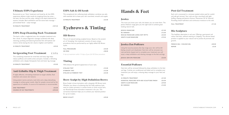### Ultimate ESPA Experience

Renowned as our 'Hero' treatment and loved by all; this ESPA experience delivers triple results by targeting three key areas – the back, the face and the scalp, making it the ideal treatment for anyone. Includes: Back exfoliation and hot stone back massage – personalised facial – scalp massage.

#### Invigorating Foot Treatment ESPA

**90 MINUTE TREATMENT £107.50**

### ESPA Deep Cleansing Back Treatment

The back is often a neglected area, this complete treatment acts like a facial. A unique diagnostic massage combined with deep cleansing, purifying and balancing Essential Oils will hydrate and restore clarity leaving the skin clearer, brighter and healthier.

| <b>45 MINUTE TREATMENT</b> | £49.50 |
|----------------------------|--------|
|----------------------------|--------|

This revitalising treatment for tired feet and heavy legs helps reduce puffiness and soothe aches and pains. Includes a refreshing exfoliation and a deeply therapeutic foot and lower leg massage.

| <b>30 MINUTE TREATMENT</b> | £32.00 |
|----------------------------|--------|
|----------------------------|--------|

### Anti Cellulite Hip & Thigh Treatment

A highly effective, stimulating treatment to target cellulite, fluid retention and uneven skin texture.

Using potent marine extracts, iced mitts and a deep detoxifying massage to achieve great results. Ideal for people concerned by the appearance of cellulite. A course of 6 treatments is recommended.

| <b>ONE TREATMENT</b>            | £55.00  |
|---------------------------------|---------|
| <b>COURSE OF SIX TREATMENTS</b> | £295.00 |

### ESPA Salt & Oil Scrub

This exceptional skin softening body exfoliation combines sea salts with essential oils to leave your skin nourished, smooth and supple.

**30 MINUTE TREATMENT £32.00**

## Eyebrows & Tinting

### HD Brows

The art of natural looking sculpted brows. Based on the ancient art of 'threading', this treatment consists of seven unique procedures that are performed by our highly skilled HD Brows stylist.

| <b>FULL PROCEDURE</b> | £35.00 |
|-----------------------|--------|
| HD MINI               | £28.00 |

*A top up treatment within 14 days of your full HD Brow procedure.*

### Tinting

Will enhance the general appearance of your eyes.

| EYELASH TINT           | £15.00    |
|------------------------|-----------|
| EYEBROW TINT           | f12.00    |
| EYELASH & EYEBROW TINT | $f$ 24.00 |

### Brow Sculpt by High Definition Brows

Brow Sculpt is brow lamination with a bespoke HD Brows twist. Whether you dream of achieving that full, fluffy eyebrow look, want to create symmetry in uneven brows or tame unruly hairs, our BrowSculpt brow lamination treatment is for you. This corrective treatment helps you to achieve your desired position for up to 6 weeks.

**BROW SCULPT £49.00**

## Hands & Feet

### **Jessica**

The more you know your nails, the better you can treat them. The Jessica Nailcare range gives you the right tools to achieve great looking natural nails.

| <b>IESSICA MANICURE</b>         | £21.00 |
|---------------------------------|--------|
| RE VARNISH                      | f12.00 |
| RESCUE MANICURE USING HOT MITTS | £25.00 |
| <b>GENTS CLUB MANICURE</b>      | f19.50 |
|                                 |        |

### Jessica Zen Pedicure

Using the luxurious Jessica Zen Spa range your skin will be left feeling smooth and rehydrated. Hard skin will be removed, toe nails perfectly shaped and to complete your treatment you will enjoy a deep exfoliation and relaxing massage to the feet and legs.

**JESSICA ZEN SPA PEDICURE £35.00**

### Essential Pedicure

Hard skin will be removed followed by deep exfoliation to the feet and legs. Cuticles are conditioned and tidied and to complete your treatment you will enjoy a relaxing deep massage to your feet and legs.

| <b>45 MINUTE TREATMENT</b>                          | £31.00 |
|-----------------------------------------------------|--------|
| <b>ESSENTIAL PEDICURE WITH BIO SCULPTURE FINISH</b> | £55.00 |
| <b>GENTS CLUB PEDICURE</b>                          | £29.00 |
| <b>RF VARNISH</b>                                   | f14.00 |

### Post Gel Treatment

Each nail is cocooned in a remover-soaked cotton pad for careful and safe gel removal. Your nails are then nourished with light buffing, shaping and Jessica's famous 'Phenomen Oil' & 'Nourish'. Providing instant hydration and continuous moisture to the nails.

**FULL TREATMENT £11.50**

### Bio Sculpture

The healthier alternative in nail care. Offering a permanent nail colour that lasts, without wearing or chipping. The silicone based product is applied to your natural nail to protect & promote nail growth.

| FRENCH GEL / COLOUR GEL | £40.00 |
|-------------------------|--------|
| <b>REPAIR</b>           | £5.50  |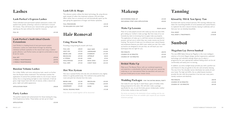## Lashes

### Lash Perfect's Express Lashes

These individual semi-permanent eyelash extensions create a full eyelash look quickly, achieving a natural or bold look in around 45 minutes. They will boost your natural lashes, giving length and opening up the eyes without the need for mascara.

**FULL SE £41.00**

### Lash Perfect's Individual Classic Extensions

Lash Perfect is a leading brand of semi-permanent eyelash extensions. Lashes are made thicker & longer by attaching individual synthetic eyelashes to the natural lash using a medical grade adhesive. Lash Perfect lashes are light & comfortable to wear & last for weeks.

| £79.50 |
|--------|
| £29.95 |
| £37.95 |
|        |

### Russian Volume Lashes

For a fuller, fluffier and more voluminous look, search no further than the Russian lashes treatment! This technique involves the application of several fine synthetic lashes to one of your natural lashes; this is a long lasting and light to wear treatment. A full set gives a high impact look with lots of volume, while a natural set gives a light and subtle appearance.

**APPLICATION FROM £98.00**

### Party Lashes

The perfect express lash enhancement for those looking for long, thick & glamorous lashes. These lashes can last up to 5 days!

**APPLICATION £25.00**

### Lash Lift & Shape

The advance system utilises the latest technology. By using silicone pads instead of rollers the treatment achieves a lift and shape effect rather than an unnatural curl and dramatically opens up the eyes giving the appearance of longer and thicker eyelashes.

| <b>FULL PROCEDURE</b>    | £44.50 |
|--------------------------|--------|
| TO INCLUDE EYE LASH TINT | £52.50 |

## Hair Removal

### Using Warm Wax

Providing a long lasting & smooth soft finish.

### Hot Wax System

Hot wax is spread thickly onto the skin and allowed to dry slightly before it is gently peeled away. This method is less painful than most and pulls hair directly from the roots.

*Areas that are treated together will be discounted*

# Makeup

| Make Up Lessons                         | <b>FROM £68.00</b> |  |
|-----------------------------------------|--------------------|--|
|                                         |                    |  |
| <b>INCLUDING STRIP LASH APPLICATION</b> | £50.00             |  |
| DAY/EVENING MAKE UP                     | £43.00             |  |
|                                         |                    |  |

Most of us have played around with make-up since we were little girls raiding our mother's make up bags. But how many of us can honestly lay claim to knowing how to apply make up properly. The application of make-up is a skill that women are expected to possess, and yet one in which they very rarely receive any formal training. The secret of make up is to enhance your natural beauty and emphasise features you didn't even realise you had. Our makeup lessons are designed to do just that, we will teach you new techniques that are right for you.

| <b>PFR MINUTE</b>            | £00.90 |
|------------------------------|--------|
| <b>COURSE OF 60 MINUTES</b>  | £35.00 |
| <b>COURSE OF 120 MINUTES</b> | £65.00 |

### Bridal Make Up

Make up at The Beauty Manor with our combined experience and expertise is undoubtedly the best way to get your special day underway or our international Make Up specialists will assist you and your bridal party at your chosen venue.

### **Wedding Packages** FOR THE ENTIRE BRIDAL PARTY

| <b>FULL LEG</b>    | £28.50 | <b>HALF ARM</b>  | £15.00 |
|--------------------|--------|------------------|--------|
| <b>HALF LEG</b>    | £19.50 | <b>UNDERARM</b>  | £16.00 |
| <b>BIKINI LINE</b> | £18.00 | <b>EYEBROW</b>   | £12.00 |
| <b>BRAZILIAN</b>   | £29.00 | <b>UPPERLIP</b>  | £8.50  |
| G STRING           | £23.00 | <b>CHIN</b>      | £9.50  |
| <b>HOLLYWOOD</b>   | £34.00 | <b>BACK WAX</b>  | £23.50 |
| <b>FULL ARM</b>    | £19.50 | <b>CHEST WAX</b> | £23.50 |
|                    |        |                  |        |

Get ready for your big day in style! Enjoy a glass of bubbly while being pampered at the salon. We will tailor make a package specifically for you, to suit the bride, groom, bridesmaids, mother of the bride, mother-in-law and friends!

| <b>FACIAL WAXING FROM</b> |  |        |                  | £12.00 |
|---------------------------|--|--------|------------------|--------|
| <b>UNDERARM</b>           |  | £16.00 | <b>NOSE</b>      | £8.00  |
| <b>HOLLYWOOD</b>          |  | £37.00 | <b>G STRING</b>  | £30.00 |
| <b>BIKINI LINE</b>        |  | £22.00 | <b>BRAZILIAN</b> | £35.00 |

*Our prices are based on the destination of your wedding and the size of your bridal party. Prices are available upon request for your bespoke treatment package.*

# Tanning

### Kissed by Mii & Xen Spray Tan

Enriched with marine mineral extracts, Mii's tanning collection has taken the nourishing benefits of coral seaweed and coastal flowers to replenish the skin's natural minerals, leaving it sublimely soft so that your tan can develop beautifully.

| <b>FULL BODY</b>              | £25.00  |
|-------------------------------|---------|
| <b>FULL BODY 6 TREATMENTS</b> | £130.00 |

## Sunbed

### MegaSun Lay Down Sunbed

The new 6900 Alpha Deluxe by MegaSun is the most intelligent solarium of its kind. Elegant design, perfect ergonomics, patented technology and individual settings allows you to select a programme for your appropriate wellness feeling which can be set comfortably and easily prior to tanning.

In addition, six extra sunlight lamps provide you with a perfect tan and Vitamin D, they are gentle to the skin and certainly relaxing, The new X-tra Tan shoulder tanner distributes tan evenly all over your body. The high end LEDs, the so-called beauty boosters provide the skin with the properties it has lost over many years, namely moisture and elasticity.

| PER MINUTE                   | £00.90 |
|------------------------------|--------|
| <b>COURSE OF 60 MINUTES</b>  | £35.00 |
| <b>COURSE OF 120 MINUTES</b> | £65.00 |